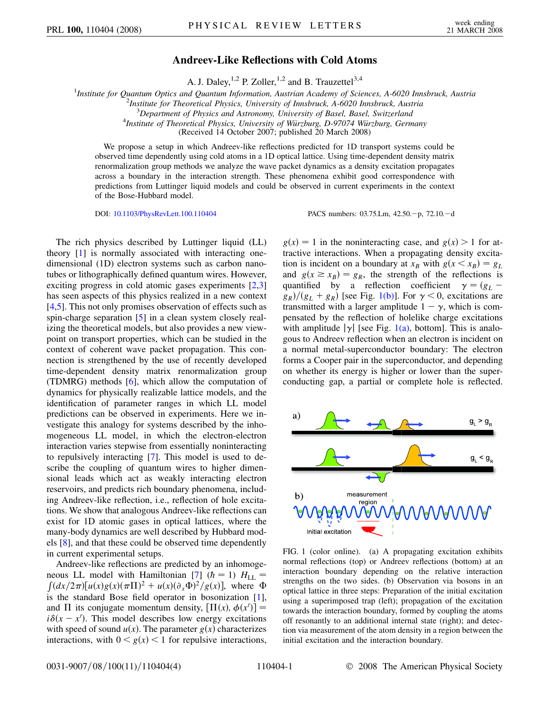## **Andreev-Like Reflections with Cold Atoms**

A. J. Daley,  $^{1,2}$  P. Zoller,  $^{1,2}$  and B. Trauzettel  $^{3,4}$ 

<sup>1</sup>Institute for Quantum Optics and Quantum Information, Austrian Academy of Sciences, A-6020 Innsbruck, Austria<sup>2</sup><br><sup>2</sup>Institute for Theoratical Physics, University of Innsbruck, A-6020 Innsbruck Austria

*Institute for Theoretical Physics, University of Innsbruck, A-6020 Innsbruck, Austria* <sup>3</sup>

*Department of Physics and Astronomy, University of Basel, Basel, Switzerland* <sup>4</sup>

*Institute of Theoretical Physics, University of Wu¨rzburg, D-97074 Wu¨rzburg, Germany*

(Received 14 October 2007; published 20 March 2008)

We propose a setup in which Andreev-like reflections predicted for 1D transport systems could be observed time dependently using cold atoms in a 1D optical lattice. Using time-dependent density matrix renormalization group methods we analyze the wave packet dynamics as a density excitation propagates across a boundary in the interaction strength. These phenomena exhibit good correspondence with predictions from Luttinger liquid models and could be observed in current experiments in the context of the Bose-Hubbard model.

DOI: [10.1103/PhysRevLett.100.110404](http://dx.doi.org/10.1103/PhysRevLett.100.110404) PACS numbers: 03.75.Lm, 42.50.-p, 72.10.-d

The rich physics described by Luttinger liquid (LL) theory [\[1\]](#page-3-0) is normally associated with interacting onedimensional (1D) electron systems such as carbon nanotubes or lithographically defined quantum wires. However, exciting progress in cold atomic gases experiments [\[2](#page-3-1)[,3\]](#page-3-2) has seen aspects of this physics realized in a new context [\[4,](#page-3-3)[5](#page-3-4)]. This not only promises observation of effects such as spin-charge separation [\[5\]](#page-3-4) in a clean system closely realizing the theoretical models, but also provides a new viewpoint on transport properties, which can be studied in the context of coherent wave packet propagation. This connection is strengthened by the use of recently developed time-dependent density matrix renormalization group (TDMRG) methods  $[6]$ , which allow the computation of dynamics for physically realizable lattice models, and the identification of parameter ranges in which LL model predictions can be observed in experiments. Here we investigate this analogy for systems described by the inhomogeneous LL model, in which the electron-electron interaction varies stepwise from essentially noninteracting to repulsively interacting [[7\]](#page-3-6). This model is used to describe the coupling of quantum wires to higher dimensional leads which act as weakly interacting electron reservoirs, and predicts rich boundary phenomena, including Andreev-like reflection, i.e., reflection of hole excitations. We show that analogous Andreev-like reflections can exist for 1D atomic gases in optical lattices, where the many-body dynamics are well described by Hubbard models [[8](#page-3-7)], and that these could be observed time dependently in current experimental setups.

Andreev-like reflections are predicted by an inhomoge-neous LL model with Hamiltonian [[7\]](#page-3-6)  $(h = 1)$   $H_{LL}$  =  $\int (dx/2\pi)[u(x)g(x)(\pi\Pi)^2 + u(x)(\partial_x\Phi)^2/g(x)]$ , where  $\Phi$ is the standard Bose field operator in bosonization [[1\]](#page-3-0), and  $\Pi$  its conjugate momentum density,  $[\Pi(x), \phi(x')] =$  $i\delta(x - x')$ . This model describes low energy excitations with speed of sound  $u(x)$ . The parameter  $g(x)$  characterizes interactions, with  $0 \le g(x) \le 1$  for repulsive interactions,

 $g(x) = 1$  in the noninteracting case, and  $g(x) > 1$  for attractive interactions. When a propagating density excitation is incident on a boundary at  $x_B$  with  $g(x \le x_B) = g_L$ and  $g(x \ge x_B) = g_R$ , the strength of the reflections is quantified by a reflection coefficient  $\gamma = (g_L$  $g_R$ / $(g_L + g_R)$  [see Fig. [1\(b\)\]](#page-0-0). For  $\gamma < 0$ , excitations are transmitted with a larger amplitude  $1 - \gamma$ , which is compensated by the reflection of holelike charge excitations with amplitude  $|\gamma|$  [see Fig. [1\(a\),](#page-0-0) bottom]. This is analogous to Andreev reflection when an electron is incident on a normal metal-superconductor boundary: The electron forms a Cooper pair in the superconductor, and depending on whether its energy is higher or lower than the superconducting gap, a partial or complete hole is reflected.



<span id="page-0-0"></span>FIG. 1 (color online). (a) A propagating excitation exhibits normal reflections (top) or Andreev reflections (bottom) at an interaction boundary depending on the relative interaction strengths on the two sides. (b) Observation via bosons in an optical lattice in three steps: Preparation of the initial excitation using a superimposed trap (left); propagation of the excitation towards the interaction boundary, formed by coupling the atoms off resonantly to an additional internal state (right); and detection via measurement of the atom density in a region between the initial excitation and the interaction boundary.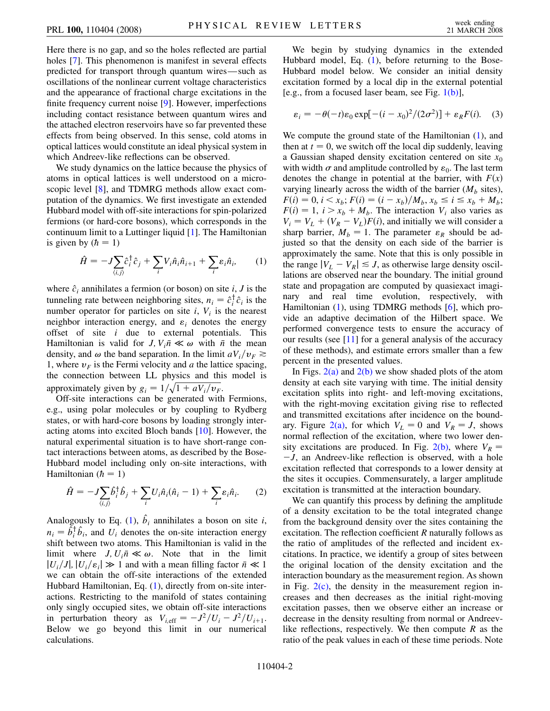Here there is no gap, and so the holes reflected are partial holes [[7](#page-3-6)]. This phenomenon is manifest in several effects predicted for transport through quantum wires—such as oscillations of the nonlinear current voltage characteristics and the appearance of fractional charge excitations in the finite frequency current noise [\[9](#page-3-8)]. However, imperfections including contact resistance between quantum wires and the attached electron reservoirs have so far prevented these effects from being observed. In this sense, cold atoms in optical lattices would constitute an ideal physical system in which Andreev-like reflections can be observed.

We study dynamics on the lattice because the physics of atoms in optical lattices is well understood on a microscopic level [\[8\]](#page-3-7), and TDMRG methods allow exact computation of the dynamics. We first investigate an extended Hubbard model with off-site interactions for spin-polarized fermions (or hard-core bosons), which corresponds in the continuum limit to a Luttinger liquid [[1](#page-3-0)]. The Hamiltonian is given by  $(h = 1)$ 

<span id="page-1-0"></span>
$$
\hat{H} = -J\sum_{\langle i,j\rangle} \hat{c}_i^{\dagger} \hat{c}_j + \sum_i V_i \hat{n}_i \hat{n}_{i+1} + \sum_i \varepsilon_i \hat{n}_i, \qquad (1)
$$

where  $\hat{c}_i$  annihilates a fermion (or boson) on site *i*, *J* is the tunneling rate between neighboring sites,  $n_i = \hat{c}_i^{\dagger} \hat{c}_i$  is the number operator for particles on site  $i$ ,  $V_i$  is the nearest neighbor interaction energy, and  $\varepsilon_i$  denotes the energy offset of site *i* due to external potentials. This Hamiltonian is valid for *J*,  $V_i \bar{n} \ll \omega$  with  $\bar{n}$  the mean density, and  $\omega$  the band separation. In the limit  $aV_i/v_F \ge$ 1, where  $v_F$  is the Fermi velocity and  $a$  the lattice spacing, the connection between LL physics and this model is approximately given by  $g_i = 1/\sqrt{1 + aV_i/v_F}$ .

Off-site interactions can be generated with Fermions, e.g., using polar molecules or by coupling to Rydberg states, or with hard-core bosons by loading strongly interacting atoms into excited Bloch bands [\[10\]](#page-3-9). However, the natural experimental situation is to have short-range contact interactions between atoms, as described by the Bose-Hubbard model including only on-site interactions, with Hamiltonian  $(h = 1)$ 

$$
\hat{H} = -J\sum_{\langle i,j\rangle} \hat{b}_i^{\dagger} \hat{b}_j + \sum_i U_i \hat{n}_i (\hat{n}_i - 1) + \sum_i \varepsilon_i \hat{n}_i. \tag{2}
$$

Analogously to Eq. [\(1](#page-1-0)),  $\hat{b}_i$  annihilates a boson on site *i*,  $n_i = \hat{b}_i^{\dagger} \hat{b}_i$ , and  $U_i$  denotes the on-site interaction energy shift between two atoms. This Hamiltonian is valid in the limit where  $J, U_i \bar{n} \ll \omega$ . Note that in the limit  $|U_i/J|, |U_i/\varepsilon_i| \gg 1$  and with a mean filling factor  $\bar{n} \ll 1$ we can obtain the off-site interactions of the extended Hubbard Hamiltonian, Eq. [\(1](#page-1-0)), directly from on-site interactions. Restricting to the manifold of states containing only singly occupied sites, we obtain off-site interactions in perturbation theory as  $V_{i, \text{eff}} = -J^2/U_i - J^2/U_{i+1}$ . Below we go beyond this limit in our numerical calculations.

We begin by studying dynamics in the extended Hubbard model, Eq. [\(1](#page-1-0)), before returning to the Bose-Hubbard model below. We consider an initial density excitation formed by a local dip in the external potential [e.g., from a focused laser beam, see Fig.  $1(b)$ ],

$$
\varepsilon_i = -\theta(-t)\varepsilon_0 \exp[-(i - x_0)^2/(2\sigma^2)] + \varepsilon_R F(i). \quad (3)
$$

We compute the ground state of the Hamiltonian  $(1)$ , and then at  $t = 0$ , we switch off the local dip suddenly, leaving a Gaussian shaped density excitation centered on site  $x_0$ with width  $\sigma$  and amplitude controlled by  $\varepsilon_0$ . The last term denotes the change in potential at the barrier, with  $F(x)$ varying linearly across the width of the barrier  $(M_b \text{ sites})$ ,  $F(i) = 0, i < x_b; F(i) = (i - x_b)/M_b, x_b \le i \le x_b + M_b;$  $F(i) = 1$ ,  $i > x_b + M_b$ . The interaction  $V_i$  also varies as  $V_i = V_L + (V_R - V_L)F(i)$ , and initially we will consider a sharp barrier,  $M_b = 1$ . The parameter  $\varepsilon_R$  should be adjusted so that the density on each side of the barrier is approximately the same. Note that this is only possible in the range  $|V_L - V_R| \leq J$ , as otherwise large density oscillations are observed near the boundary. The initial ground state and propagation are computed by quasiexact imaginary and real time evolution, respectively, with Hamiltonian [\(1\)](#page-1-0), using TDMRG methods [[6](#page-3-5)], which provide an adaptive decimation of the Hilbert space. We performed convergence tests to ensure the accuracy of our results (see [\[11\]](#page-3-10) for a general analysis of the accuracy of these methods), and estimate errors smaller than a few percent in the presented values.

In Figs.  $2(a)$  and  $2(b)$  we show shaded plots of the atom density at each site varying with time. The initial density excitation splits into right- and left-moving excitations, with the right-moving excitation giving rise to reflected and transmitted excitations after incidence on the bound-ary. Figure [2\(a\)](#page-2-0), for which  $V_L = 0$  and  $V_R = J$ , shows normal reflection of the excitation, where two lower density excitations are produced. In Fig.  $2(b)$ , where  $V_R =$  $-J$ , an Andreev-like reflection is observed, with a hole excitation reflected that corresponds to a lower density at the sites it occupies. Commensurately, a larger amplitude excitation is transmitted at the interaction boundary.

We can quantify this process by defining the amplitude of a density excitation to be the total integrated change from the background density over the sites containing the excitation. The reflection coefficient *R* naturally follows as the ratio of amplitudes of the reflected and incident excitations. In practice, we identify a group of sites between the original location of the density excitation and the interaction boundary as the measurement region. As shown in Fig.  $2(c)$ , the density in the measurement region increases and then decreases as the initial right-moving excitation passes, then we observe either an increase or decrease in the density resulting from normal or Andreevlike reflections, respectively. We then compute *R* as the ratio of the peak values in each of these time periods. Note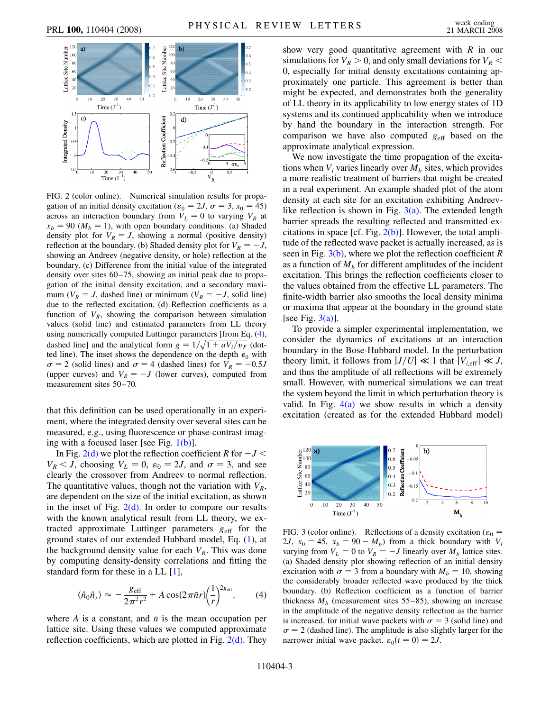<span id="page-2-3"></span>

<span id="page-2-0"></span>FIG. 2 (color online). Numerical simulation results for propagation of an initial density excitation ( $\varepsilon_0 = 2J$ ,  $\sigma = 3$ ,  $x_0 = 45$ ) across an interaction boundary from  $V_L = 0$  to varying  $V_R$  at  $x_b = 90 \ (M_b = 1)$ , with open boundary conditions. (a) Shaded density plot for  $V_R = J$ , showing a normal (positive density) reflection at the boundary. (b) Shaded density plot for  $V_R = -J$ , showing an Andreev (negative density, or hole) reflection at the boundary. (c) Difference from the initial value of the integrated density over sites 60–75, showing an initial peak due to propagation of the initial density excitation, and a secondary maximum ( $V_R = J$ , dashed line) or minimum ( $V_R = -J$ , solid line) due to the reflected excitation. (d) Reflection coefficients as a function of  $V_R$ , showing the comparison between simulation values (solid line) and estimated parameters from LL theory using numerically computed Luttinger parameters [from Eq. ([4\)](#page-2-2), dashed line] and the analytical form  $g = 1/\sqrt{1 + aV_i/v_F}$  (dotted line). The inset shows the dependence on the depth  $\epsilon_0$  with  $\sigma = 2$  (solid lines) and  $\sigma = 4$  (dashed lines) for  $V_R = -0.5J$ (upper curves) and  $V_R = -J$  (lower curves), computed from measurement sites 50–70.

that this definition can be used operationally in an experiment, where the integrated density over several sites can be measured, e.g., using fluorescence or phase-contrast imaging with a focused laser [see Fig.  $1(b)$ ].

In Fig. [2\(d\)](#page-2-0) we plot the reflection coefficient *R* for  $-J <$  $V_R < J$ , choosing  $V_L = 0$ ,  $\varepsilon_0 = 2J$ , and  $\sigma = 3$ , and see clearly the crossover from Andreev to normal reflection. The quantitative values, though not the variation with  $V_R$ , are dependent on the size of the initial excitation, as shown in the inset of Fig.  $2(d)$ . In order to compare our results with the known analytical result from LL theory, we extracted approximate Luttinger parameters  $g_{\text{eff}}$  for the ground states of our extended Hubbard model, Eq. ([1](#page-1-0)), at the background density value for each  $V_R$ . This was done by computing density-density correlations and fitting the standard form for these in a LL [[1](#page-3-0)],

<span id="page-2-2"></span>
$$
\langle \hat{n}_0 \hat{n}_r \rangle \approx -\frac{g_{\text{eff}}}{2\pi^2 r^2} + A \cos(2\pi \bar{n}r) \left(\frac{1}{r}\right)^{2g_{\text{eff}}},\qquad(4)
$$

where *A* is a constant, and  $\bar{n}$  is the mean occupation per lattice site. Using these values we computed approximate reflection coefficients, which are plotted in Fig.  $2(d)$ . They show very good quantitative agreement with *R* in our simulations for  $V_R > 0$ , and only small deviations for  $V_R <$ 0, especially for initial density excitations containing approximately one particle. This agreement is better than might be expected, and demonstrates both the generality of LL theory in its applicability to low energy states of 1D systems and its continued applicability when we introduce by hand the boundary in the interaction strength. For comparison we have also computed  $g_{\text{eff}}$  based on the approximate analytical expression.

We now investigate the time propagation of the excitations when  $V_i$  varies linearly over  $M_b$  sites, which provides a more realistic treatment of barriers that might be created in a real experiment. An example shaded plot of the atom density at each site for an excitation exhibiting Andreevlike reflection is shown in Fig.  $3(a)$ . The extended length barrier spreads the resulting reflected and transmitted excitations in space [cf. Fig.  $2(b)$ ]. However, the total amplitude of the reflected wave packet is actually increased, as is seen in Fig. [3\(b\),](#page-2-1) where we plot the reflection coefficient *R* as a function of  $M<sub>b</sub>$  for different amplitudes of the incident excitation. This brings the reflection coefficients closer to the values obtained from the effective LL parameters. The finite-width barrier also smooths the local density minima or maxima that appear at the boundary in the ground state [see Fig.  $3(a)$ ].

To provide a simpler experimental implementation, we consider the dynamics of excitations at an interaction boundary in the Bose-Hubbard model. In the perturbation theory limit, it follows from  $|J/U| \ll 1$  that  $|V_{i\text{eff}}| \ll J$ , and thus the amplitude of all reflections will be extremely small. However, with numerical simulations we can treat the system beyond the limit in which perturbation theory is valid. In Fig.  $4(a)$  we show results in which a density excitation (created as for the extended Hubbard model)



<span id="page-2-1"></span>FIG. 3 (color online). Reflections of a density excitation ( $\varepsilon_0$  = 2*J*,  $x_0 = 45$ ,  $x_b = 90 - M_b$  from a thick boundary with  $V_i$ varying from  $V_L = 0$  to  $V_R = -J$  linearly over  $M_b$  lattice sites. (a) Shaded density plot showing reflection of an initial density excitation with  $\sigma = 3$  from a boundary with  $M_b = 10$ , showing the considerably broader reflected wave produced by the thick boundary. (b) Reflection coefficient as a function of barrier thickness  $M_b$  (measurement sites 55–85), showing an increase in the amplitude of the negative density reflection as the barrier is increased, for initial wave packets with  $\sigma = 3$  (solid line) and  $\sigma = 2$  (dashed line). The amplitude is also slightly larger for the narrower initial wave packet.  $\varepsilon_0(t=0) = 2J$ .